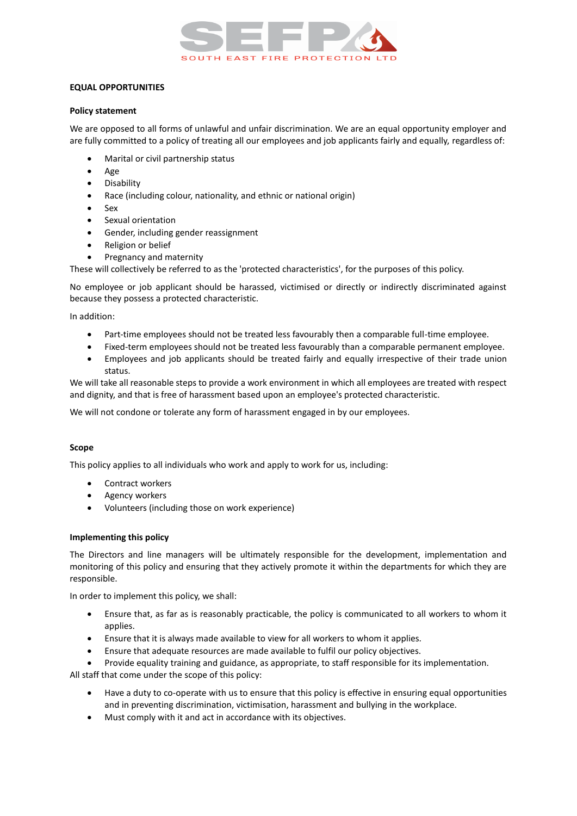

# **EQUAL OPPORTUNITIES**

### **Policy statement**

We are opposed to all forms of unlawful and unfair discrimination. We are an equal opportunity employer and are fully committed to a policy of treating all our employees and job applicants fairly and equally, regardless of:

- Marital or civil partnership status
- Age
- Disability
- Race (including colour, nationality, and ethnic or national origin)
- Sex
- Sexual orientation
- Gender, including gender reassignment
- Religion or belief
- Pregnancy and maternity

These will collectively be referred to as the 'protected characteristics', for the purposes of this policy.

No employee or job applicant should be harassed, victimised or directly or indirectly discriminated against because they possess a protected characteristic.

In addition:

- Part-time employees should not be treated less favourably then a comparable full-time employee.
- Fixed-term employees should not be treated less favourably than a comparable permanent employee.
- Employees and job applicants should be treated fairly and equally irrespective of their trade union status.

We will take all reasonable steps to provide a work environment in which all employees are treated with respect and dignity, and that is free of harassment based upon an employee's protected characteristic.

We will not condone or tolerate any form of harassment engaged in by our employees.

## **Scope**

This policy applies to all individuals who work and apply to work for us, including:

- Contract workers
- Agency workers
- Volunteers (including those on work experience)

## **Implementing this policy**

The Directors and line managers will be ultimately responsible for the development, implementation and monitoring of this policy and ensuring that they actively promote it within the departments for which they are responsible.

In order to implement this policy, we shall:

- Ensure that, as far as is reasonably practicable, the policy is communicated to all workers to whom it applies.
- Ensure that it is always made available to view for all workers to whom it applies.
- Ensure that adequate resources are made available to fulfil our policy objectives.

• Provide equality training and guidance, as appropriate, to staff responsible for its implementation.

All staff that come under the scope of this policy:

- Have a duty to co-operate with us to ensure that this policy is effective in ensuring equal opportunities and in preventing discrimination, victimisation, harassment and bullying in the workplace.
- Must comply with it and act in accordance with its objectives.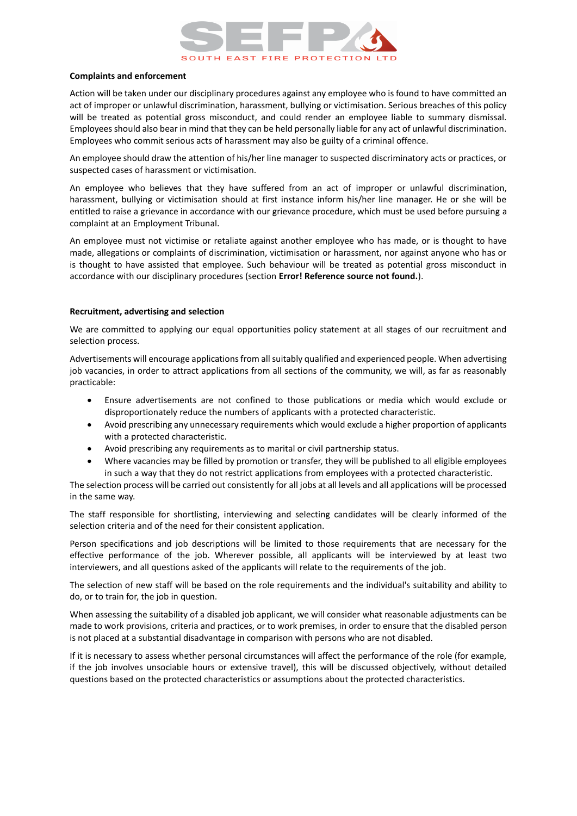

#### **Complaints and enforcement**

Action will be taken under our disciplinary procedures against any employee who is found to have committed an act of improper or unlawful discrimination, harassment, bullying or victimisation. Serious breaches of this policy will be treated as potential gross misconduct, and could render an employee liable to summary dismissal. Employees should also bear in mind that they can be held personally liable for any act of unlawful discrimination. Employees who commit serious acts of harassment may also be guilty of a criminal offence.

An employee should draw the attention of his/her line manager to suspected discriminatory acts or practices, or suspected cases of harassment or victimisation.

An employee who believes that they have suffered from an act of improper or unlawful discrimination, harassment, bullying or victimisation should at first instance inform his/her line manager. He or she will be entitled to raise a grievance in accordance with our grievance procedure, which must be used before pursuing a complaint at an Employment Tribunal.

An employee must not victimise or retaliate against another employee who has made, or is thought to have made, allegations or complaints of discrimination, victimisation or harassment, nor against anyone who has or is thought to have assisted that employee. Such behaviour will be treated as potential gross misconduct in accordance with our disciplinary procedures (section **Error! Reference source not found.**).

### **Recruitment, advertising and selection**

We are committed to applying our equal opportunities policy statement at all stages of our recruitment and selection process.

Advertisements will encourage applications from all suitably qualified and experienced people. When advertising job vacancies, in order to attract applications from all sections of the community, we will, as far as reasonably practicable:

- Ensure advertisements are not confined to those publications or media which would exclude or disproportionately reduce the numbers of applicants with a protected characteristic.
- Avoid prescribing any unnecessary requirements which would exclude a higher proportion of applicants with a protected characteristic.
- Avoid prescribing any requirements as to marital or civil partnership status.
- Where vacancies may be filled by promotion or transfer, they will be published to all eligible employees in such a way that they do not restrict applications from employees with a protected characteristic.

The selection process will be carried out consistently for all jobs at all levels and all applications will be processed in the same way.

The staff responsible for shortlisting, interviewing and selecting candidates will be clearly informed of the selection criteria and of the need for their consistent application.

Person specifications and job descriptions will be limited to those requirements that are necessary for the effective performance of the job. Wherever possible, all applicants will be interviewed by at least two interviewers, and all questions asked of the applicants will relate to the requirements of the job.

The selection of new staff will be based on the role requirements and the individual's suitability and ability to do, or to train for, the job in question.

When assessing the suitability of a disabled job applicant, we will consider what reasonable adjustments can be made to work provisions, criteria and practices, or to work premises, in order to ensure that the disabled person is not placed at a substantial disadvantage in comparison with persons who are not disabled.

If it is necessary to assess whether personal circumstances will affect the performance of the role (for example, if the job involves unsociable hours or extensive travel), this will be discussed objectively, without detailed questions based on the protected characteristics or assumptions about the protected characteristics.